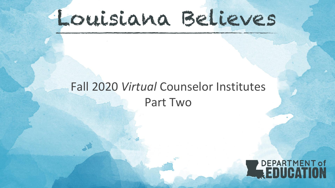# Louisiana Believes

# Fall 2020 *Virtual* Counselor Institutes Part Two

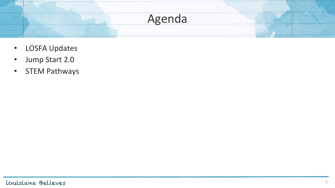

- LOSFA Updates
- Jump Start 2.0
- STEM Pathways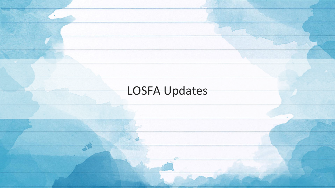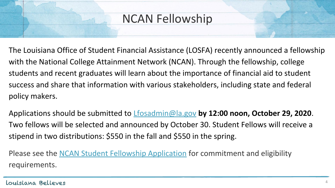### NCAN Fellowship

The Louisiana Office of Student Financial Assistance (LOSFA) recently announced a fellowship with the National College Attainment Network (NCAN). Through the fellowship, college students and recent graduates will learn about the importance of financial aid to student success and share that information with various stakeholders, including state and federal policy makers.

Applications should be submitted to [Lfosadmin@la.gov](mailto:Lfosadmin@la.gov) **by 12:00 noon, October 29, 2020**. Two fellows will be selected and announced by October 30. Student Fellows will receive a stipend in two distributions: \$550 in the fall and \$550 in the spring.

Please see the [NCAN Student Fellowship Application](https://files.constantcontact.com/92d7fec5701/5d5c0e69-882d-423d-8646-b6bebd0b9b59.pdf) for commitment and eligibility requirements.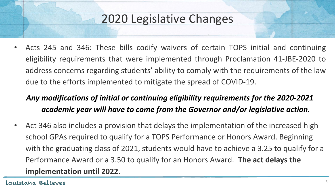• Acts 245 and 346: These bills codify waivers of certain TOPS initial and continuing eligibility requirements that were implemented through Proclamation 41-JBE-2020 to address concerns regarding students' ability to comply with the requirements of the law due to the efforts implemented to mitigate the spread of COVID-19.

#### *Any modifications of initial or continuing eligibility requirements for the 2020-2021 academic year will have to come from the Governor and/or legislative action.*

Act 346 also includes a provision that delays the implementation of the increased high school GPAs required to qualify for a TOPS Performance or Honors Award. Beginning with the graduating class of 2021, students would have to achieve a 3.25 to qualify for a Performance Award or a 3.50 to qualify for an Honors Award. **The act delays the implementation until 2022**.

Louisiana Believes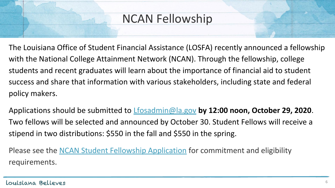### NCAN Fellowship

The Louisiana Office of Student Financial Assistance (LOSFA) recently announced a fellowship with the National College Attainment Network (NCAN). Through the fellowship, college students and recent graduates will learn about the importance of financial aid to student success and share that information with various stakeholders, including state and federal policy makers.

Applications should be submitted to [Lfosadmin@la.gov](mailto:Lfosadmin@la.gov) **by 12:00 noon, October 29, 2020**. Two fellows will be selected and announced by October 30. Student Fellows will receive a stipend in two distributions: \$550 in the fall and \$550 in the spring.

Please see the **NCAN Student Fellowship Application** for commitment and eligibility requirements.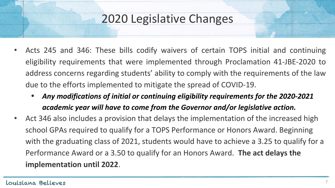- Acts 245 and 346: These bills codify waivers of certain TOPS initial and continuing eligibility requirements that were implemented through Proclamation 41-JBE-2020 to address concerns regarding students' ability to comply with the requirements of the law due to the efforts implemented to mitigate the spread of COVID-19.
	- *• Any modifications of initial or continuing eligibility requirements for the 2020-2021 academic year will have to come from the Governor and/or legislative action.*
- Act 346 also includes a provision that delays the implementation of the increased high school GPAs required to qualify for a TOPS Performance or Honors Award. Beginning with the graduating class of 2021, students would have to achieve a 3.25 to qualify for a Performance Award or a 3.50 to qualify for an Honors Award. **The act delays the implementation until 2022**.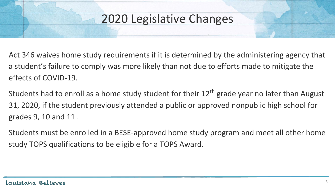Act 346 waives home study requirements if it is determined by the administering agency that a student's failure to comply was more likely than not due to efforts made to mitigate the effects of COVID-19.

Students had to enroll as a home study student for their  $12<sup>th</sup>$  grade year no later than August 31, 2020, if the student previously attended a public or approved nonpublic high school for grades 9, 10 and 11 .

Students must be enrolled in a BESE-approved home study program and meet all other home study TOPS qualifications to be eligible for a TOPS Award.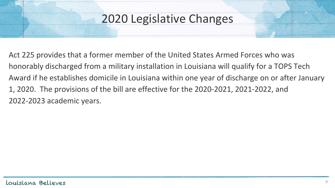Act 225 provides that a former member of the United States Armed Forces who was honorably discharged from a military installation in Louisiana will qualify for a TOPS Tech Award if he establishes domicile in Louisiana within one year of discharge on or after January 1, 2020. The provisions of the bill are effective for the 2020-2021, 2021-2022, and 2022-2023 academic years.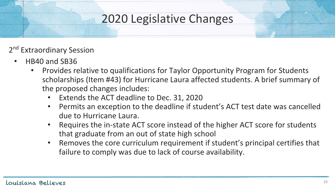- 2<sup>nd</sup> Extraordinary Session
	- HB40 and SB36
		- Provides relative to qualifications for Taylor Opportunity Program for Students scholarships (Item #43) for Hurricane Laura affected students. A brief summary of the proposed changes includes:
			- Extends the ACT deadline to Dec. 31, 2020
			- Permits an exception to the deadline if student's ACT test date was cancelled due to Hurricane Laura.
			- Requires the in-state ACT score instead of the higher ACT score for students that graduate from an out of state high school
			- Removes the core curriculum requirement if student's principal certifies that failure to comply was due to lack of course availability.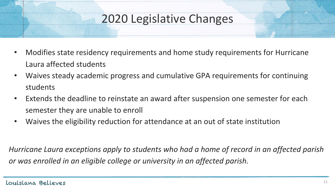- Modifies state residency requirements and home study requirements for Hurricane Laura affected students
- Waives steady academic progress and cumulative GPA requirements for continuing students
- Extends the deadline to reinstate an award after suspension one semester for each semester they are unable to enroll
- Waives the eligibility reduction for attendance at an out of state institution

*Hurricane Laura exceptions apply to students who had a home of record in an affected parish or was enrolled in an eligible college or university in an affected parish.*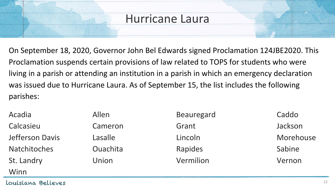#### Hurricane Laura

On September 18, 2020, Governor John Bel Edwards signed Proclamation 124JBE2020. This Proclamation suspends certain provisions of law related to TOPS for students who were living in a parish or attending an institution in a parish in which an emergency declaration was issued due to Hurricane Laura. As of September 15, the list includes the following parishes:

| Acadia              | Allen           | <b>Beauregard</b> | Caddo     |
|---------------------|-----------------|-------------------|-----------|
| Calcasieu           | Cameron         | Grant             | Jackson   |
| Jefferson Davis     | Lasalle         | Lincoln           | Morehouse |
| <b>Natchitoches</b> | <b>Ouachita</b> | Rapides           | Sabine    |
| St. Landry          | Union           | Vermilion         | Vernon    |
| Winn                |                 |                   |           |

Louisiana Believes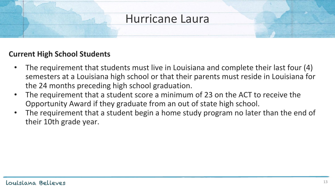#### Hurricane Laura

#### **Current High School Students**

- The requirement that students must live in Louisiana and complete their last four (4) semesters at a Louisiana high school or that their parents must reside in Louisiana for the 24 months preceding high school graduation.
- The requirement that a student score a minimum of 23 on the ACT to receive the Opportunity Award if they graduate from an out of state high school.
- The requirement that a student begin a home study program no later than the end of their 10th grade year.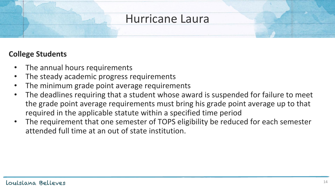#### Hurricane Laura

#### **College Students**

- The annual hours requirements
- The steady academic progress requirements
- The minimum grade point average requirements
- The deadlines requiring that a student whose award is suspended for failure to meet the grade point average requirements must bring his grade point average up to that required in the applicable statute within a specified time period
- The requirement that one semester of TOPS eligibility be reduced for each semester attended full time at an out of state institution.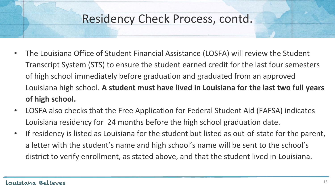### Residency Check Process, contd.

- The Louisiana Office of Student Financial Assistance (LOSFA) will review the Student Transcript System (STS) to ensure the student earned credit for the last four semesters of high school immediately before graduation and graduated from an approved Louisiana high school. **A student must have lived in Louisiana for the last two full years of high school.**
- LOSFA also checks that the Free Application for Federal Student Aid (FAFSA) indicates Louisiana residency for 24 months before the high school graduation date.
- If residency is listed as Louisiana for the student but listed as out-of-state for the parent, a letter with the student's name and high school's name will be sent to the school's district to verify enrollment, as stated above, and that the student lived in Louisiana.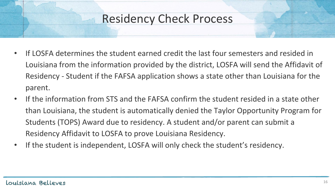### Residency Check Process

- If LOSFA determines the student earned credit the last four semesters and resided in Louisiana from the information provided by the district, LOSFA will send the Affidavit of Residency - Student if the FAFSA application shows a state other than Louisiana for the parent.
- If the information from STS and the FAFSA confirm the student resided in a state other than Louisiana, the student is automatically denied the Taylor Opportunity Program for Students (TOPS) Award due to residency. A student and/or parent can submit a Residency Affidavit to LOSFA to prove Louisiana Residency.
- If the student is independent, LOSFA will only check the student's residency.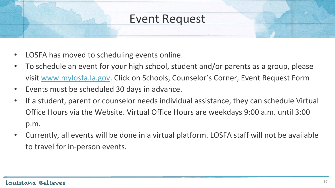#### Event Request

- LOSFA has moved to scheduling events online.
- To schedule an event for your high school, student and/or parents as a group, please visi[t](http://www.mylosfa.la.gov/) [www.mylosfa.la.gov.](http://www.mylosfa.la.gov) Click on Schools, Counselor's Corner, Event Request Form
- Events must be scheduled 30 days in advance.
- If a student, parent or counselor needs individual assistance, they can schedule Virtual Office Hours via the Website. Virtual Office Hours are weekdays 9:00 a.m. until 3:00 p.m.
- Currently, all events will be done in a virtual platform. LOSFA staff will not be available to travel for in-person events.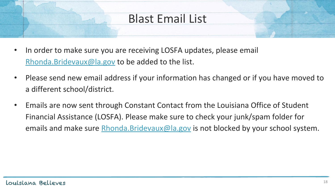### Blast Email List

- In order to make sure you are receiving LOSFA updates, please email [Rhonda.Bridevaux@la.gov](mailto:Rhonda.Bridevaux@la.gov) to be added to the list.
- Please send new email address if your information has changed or if you have moved to a different school/district.
- Emails are now sent through Constant Contact from the Louisiana Office of Student Financial Assistance (LOSFA). Please make sure to check your junk/spam folder for emails and make sure [Rhonda.Bridevaux@la.gov](mailto:Rhonda.Bridevaux@la.gov) is not blocked by your school system.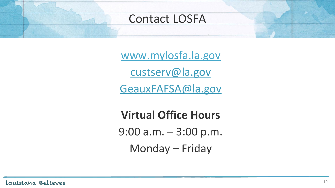#### Contact LOSFA

[www.mylosfa.la.go](http://www.mylosfa.la.gov/)v [custserv@la.gov](mailto:custserv@la.gov)

[GeauxFAFSA@la.gov](mailto:GeauxFAFSA@la.gov)

**Virtual Office Hours** 9:00 a.m. – 3:00 p.m. Monday – Friday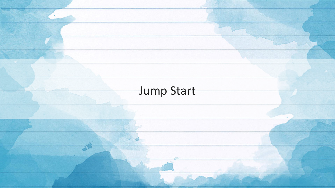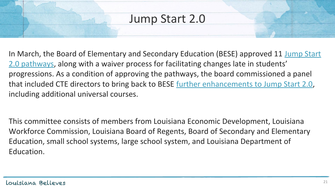In March, the Board of Elementary and Secondary Education (BESE) approved 11 [Jump Start](https://www.louisianabelieves.com/resources/library/jump-start-graduation-pathways) [2.0 pathways,](https://www.louisianabelieves.com/resources/library/jump-start-graduation-pathways) along with a waiver process for facilitating changes late in students' progressions. As a condition of approving the pathways, the board commissioned a panel that included CTE directors to bring back to BESE [further enhancements to Jump Start 2.0](https://go.boarddocs.com/la/bese/Board.nsf/files/BRTPZG670A62/$file/AGII_JS2.0_Aug2020.pdf), including additional universal courses.

This committee consists of members from Louisiana Economic Development, Louisiana Workforce Commission, Louisiana Board of Regents, Board of Secondary and Elementary Education, small school systems, large school system, and Louisiana Department of Education.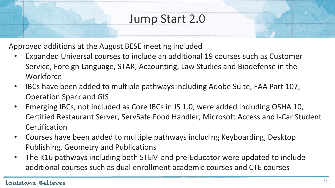Approved additions at the August BESE meeting included

- Expanded Universal courses to include an additional 19 courses such as Customer Service, Foreign Language, STAR, Accounting, Law Studies and Biodefense in the **Workforce**
- IBCs have been added to multiple pathways including Adobe Suite, FAA Part 107, Operation Spark and GIS
- Emerging IBCs, not included as Core IBCs in JS 1.0, were added including OSHA 10, Certified Restaurant Server, ServSafe Food Handler, Microsoft Access and I-Car Student **Certification**
- Courses have been added to multiple pathways including Keyboarding, Desktop Publishing, Geometry and Publications
- The K16 pathways including both STEM and pre-Educator were updated to include additional courses such as dual enrollment academic courses and CTE courses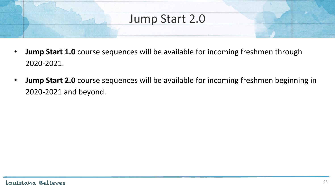- **Jump Start 1.0** course sequences will be available for incoming freshmen through 2020-2021.
- **Jump Start 2.0** course sequences will be available for incoming freshmen beginning in 2020-2021 and beyond.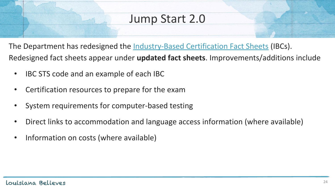The Department has redesigned the <u>[Industry-Based Certification Fact Sheets](https://www.louisianabelieves.com/resources/library/jump-start-fact-sheets)</u> (IBCs). Redesigned fact sheets appear under **updated fact sheets**. Improvements/additions include

- IBC STS code and an example of each IBC
- Certification resources to prepare for the exam
- System requirements for computer-based testing
- Direct links to accommodation and language access information (where available)
- Information on costs (where available)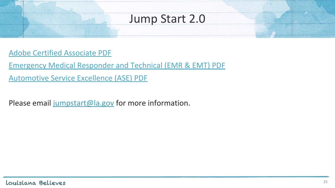- [Adobe Certified Associate PDF](https://www.louisianabelieves.com/docs/default-source/jumpstart/adobe-certified-associate.pdf?sfvrsn=2345981f_2)
- [Emergency Medical Responder and Technical \(EMR & EMT\) PDF](https://www.louisianabelieves.com/docs/default-source/jumpstart/emergency-medical-responder-and-technical-(emr-emt).pdf?sfvrsn=3245981f_2) [Automotive Service Excellence \(ASE\) PDF](https://www.louisianabelieves.com/docs/default-source/jumpstart/automotive-service-excellence-(ase).pdf?sfvrsn=94298f1f_19)
- Please email [jumpstart@la.gov](mailto:jumpstart@la.gov) for more information.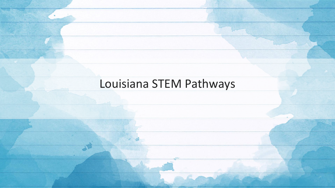# Louisiana STEM Pathways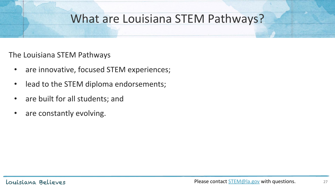#### What are Louisiana STEM Pathways?

#### The Louisiana STEM Pathways

- are innovative, focused STEM experiences;
- lead to the STEM diploma endorsements;
- are built for all students; and
- are constantly evolving.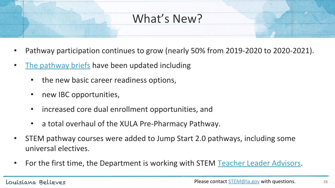### What's New?

- Pathway participation continues to grow (nearly 50% from 2019-2020 to 2020-2021).
- [The pathway briefs](https://www.louisianabelieves.com/courses/louisiana-stem-initiative) have been updated including
	- the new basic career readiness options,
	- new IBC opportunities,
	- increased core dual enrollment opportunities, and
	- a total overhaul of the XULA Pre-Pharmacy Pathway.
- STEM pathway courses were added to Jump Start 2.0 pathways, including some universal electives.
- For the first time, the Department is working with STEM [Teacher Leader Advisors](https://www.louisianabelieves.com/resources/classroom-support/teacher-support-toolbox/collaboration-teacher-leadership).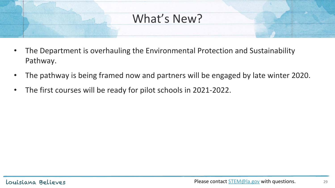### What's New?

- The Department is overhauling the Environmental Protection and Sustainability Pathway.
- The pathway is being framed now and partners will be engaged by late winter 2020.
- The first courses will be ready for pilot schools in 2021-2022.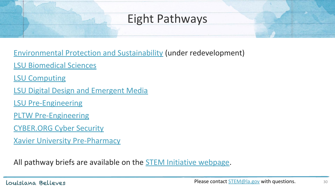### Eight Pathways

[Environmental Protection and Sustainability](https://www.louisianabelieves.com/docs/default-source/js-graduation-pathways/stem-pathway-brief---environmental-protection-and-sustainability.pdf?sfvrsn=5863931f_9) (under redevelopment)

[LSU Biomedical Sciences](https://www.louisianabelieves.com/docs/default-source/js-graduation-pathways/stem-pathway-brief---lsu-biomedical-sciences.pdf?sfvrsn=9c819d1f_3)

[LSU Computing](https://www.louisianabelieves.com/docs/default-source/js-graduation-pathways/stem-pathway-brief---lsu-computing.pdf?sfvrsn=83819d1f_4)

[LSU Digital Design and Emergent Media](https://www.louisianabelieves.com/docs/default-source/js-graduation-pathways/stem-pathway-brief---lsu-digital-design-and-emergent-media.pdf?sfvrsn=5f63931f_13)

[LSU Pre-Engineering](https://www.louisianabelieves.com/docs/default-source/js-graduation-pathways/stem-pathway-brief---lsu-pre-engineering.pdf?sfvrsn=5e63931f_23)

[PLTW Pre-Engineering](https://www.louisianabelieves.com/docs/default-source/js-graduation-pathways/stem-pathway-brief---pltw-pre-engineering.pdf?sfvrsn=ffe9d1f_6)

[CYBER.ORG Cyber Security](https://www.louisianabelieves.com/docs/default-source/js-graduation-pathways/stem-pathway-brief---nicerc-cyber-security.pdf?sfvrsn=82819d1f_6)

[Xavier University Pre-Pharmacy](https://www.louisianabelieves.com/docs/default-source/js-graduation-pathways/stem-pathway-brief---xavier-university-pre-pharmacy-fv.pdf?sfvrsn=c7a29c1f_8)

All pathway briefs are available on the **STEM** Initiative webpage.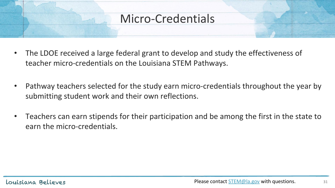#### Micro-Credentials

- The LDOE received a large federal grant to develop and study the effectiveness of teacher micro-credentials on the Louisiana STEM Pathways.
- Pathway teachers selected for the study earn micro-credentials throughout the year by submitting student work and their own reflections.
- Teachers can earn stipends for their participation and be among the first in the state to earn the micro-credentials.